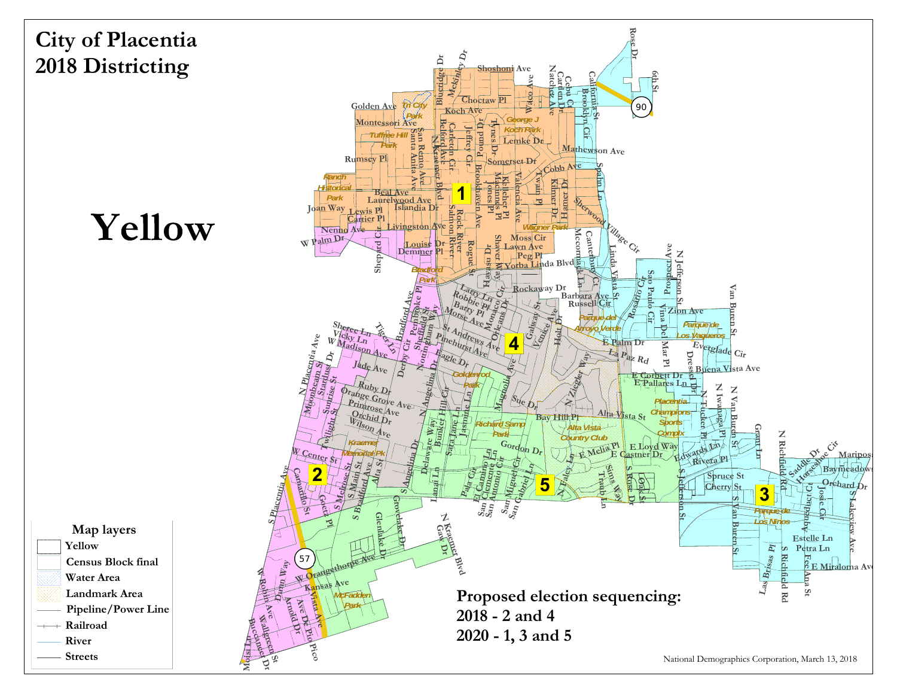